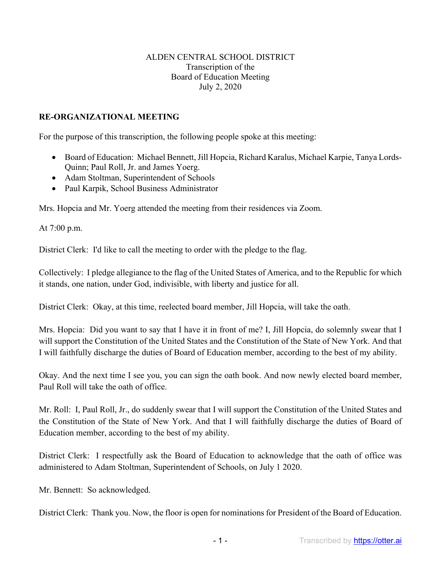## ALDEN CENTRAL SCHOOL DISTRICT Transcription of the Board of Education Meeting July 2, 2020

## **RE-ORGANIZATIONAL MEETING**

For the purpose of this transcription, the following people spoke at this meeting:

- Board of Education: Michael Bennett, Jill Hopcia, Richard Karalus, Michael Karpie, Tanya Lords-Quinn; Paul Roll, Jr. and James Yoerg.
- Adam Stoltman, Superintendent of Schools
- Paul Karpik, School Business Administrator

Mrs. Hopcia and Mr. Yoerg attended the meeting from their residences via Zoom.

At 7:00 p.m.

District Clerk: I'd like to call the meeting to order with the pledge to the flag.

Collectively: I pledge allegiance to the flag of the United States of America, and to the Republic for which it stands, one nation, under God, indivisible, with liberty and justice for all.

District Clerk: Okay, at this time, reelected board member, Jill Hopcia, will take the oath.

Mrs. Hopcia: Did you want to say that I have it in front of me? I, Jill Hopcia, do solemnly swear that I will support the Constitution of the United States and the Constitution of the State of New York. And that I will faithfully discharge the duties of Board of Education member, according to the best of my ability.

Okay. And the next time I see you, you can sign the oath book. And now newly elected board member, Paul Roll will take the oath of office.

Mr. Roll: I, Paul Roll, Jr., do suddenly swear that I will support the Constitution of the United States and the Constitution of the State of New York. And that I will faithfully discharge the duties of Board of Education member, according to the best of my ability.

District Clerk: I respectfully ask the Board of Education to acknowledge that the oath of office was administered to Adam Stoltman, Superintendent of Schools, on July 1 2020.

Mr. Bennett: So acknowledged.

District Clerk: Thank you. Now, the floor is open for nominations for President of the Board of Education.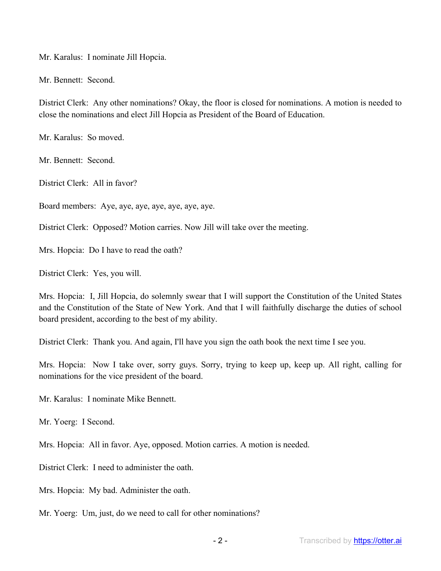Mr. Karalus: I nominate Jill Hopcia.

Mr. Bennett: Second.

District Clerk: Any other nominations? Okay, the floor is closed for nominations. A motion is needed to close the nominations and elect Jill Hopcia as President of the Board of Education.

Mr. Karalus: So moved.

Mr. Bennett: Second.

District Clerk: All in favor?

Board members: Aye, aye, aye, aye, aye, aye, aye.

District Clerk: Opposed? Motion carries. Now Jill will take over the meeting.

Mrs. Hopcia: Do I have to read the oath?

District Clerk: Yes, you will.

Mrs. Hopcia: I, Jill Hopcia, do solemnly swear that I will support the Constitution of the United States and the Constitution of the State of New York. And that I will faithfully discharge the duties of school board president, according to the best of my ability.

District Clerk: Thank you. And again, I'll have you sign the oath book the next time I see you.

Mrs. Hopcia: Now I take over, sorry guys. Sorry, trying to keep up, keep up. All right, calling for nominations for the vice president of the board.

Mr. Karalus: I nominate Mike Bennett.

Mr. Yoerg: I Second.

Mrs. Hopcia: All in favor. Aye, opposed. Motion carries. A motion is needed.

District Clerk: I need to administer the oath.

Mrs. Hopcia: My bad. Administer the oath.

Mr. Yoerg: Um, just, do we need to call for other nominations?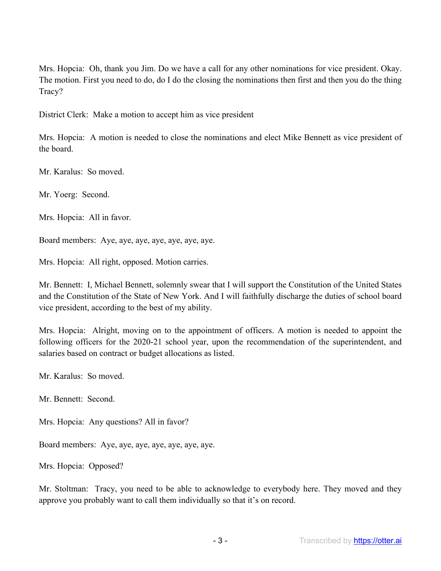Mrs. Hopcia: Oh, thank you Jim. Do we have a call for any other nominations for vice president. Okay. The motion. First you need to do, do I do the closing the nominations then first and then you do the thing Tracy?

District Clerk: Make a motion to accept him as vice president

Mrs. Hopcia: A motion is needed to close the nominations and elect Mike Bennett as vice president of the board.

Mr. Karalus: So moved.

Mr. Yoerg: Second.

Mrs. Hopcia: All in favor.

Board members: Aye, aye, aye, aye, aye, aye, aye.

Mrs. Hopcia: All right, opposed. Motion carries.

Mr. Bennett: I, Michael Bennett, solemnly swear that I will support the Constitution of the United States and the Constitution of the State of New York. And I will faithfully discharge the duties of school board vice president, according to the best of my ability.

Mrs. Hopcia: Alright, moving on to the appointment of officers. A motion is needed to appoint the following officers for the 2020-21 school year, upon the recommendation of the superintendent, and salaries based on contract or budget allocations as listed.

Mr. Karalus: So moved.

Mr. Bennett: Second.

Mrs. Hopcia: Any questions? All in favor?

Board members: Aye, aye, aye, aye, aye, aye, aye.

Mrs. Hopcia: Opposed?

Mr. Stoltman: Tracy, you need to be able to acknowledge to everybody here. They moved and they approve you probably want to call them individually so that it's on record.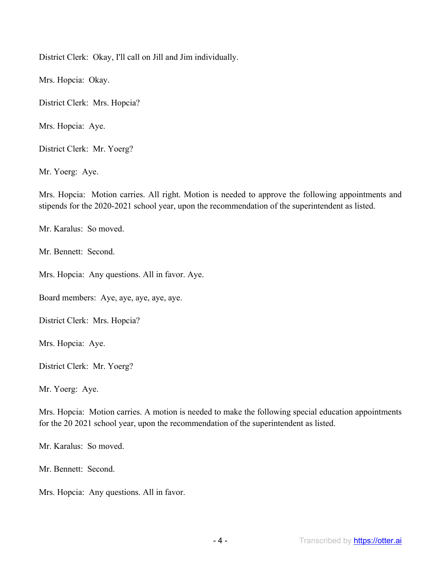District Clerk: Okay, I'll call on Jill and Jim individually.

Mrs. Hopcia: Okay.

District Clerk: Mrs. Hopcia?

Mrs. Hopcia: Aye.

District Clerk: Mr. Yoerg?

Mr. Yoerg: Aye.

Mrs. Hopcia: Motion carries. All right. Motion is needed to approve the following appointments and stipends for the 2020-2021 school year, upon the recommendation of the superintendent as listed.

Mr. Karalus: So moved.

Mr. Bennett: Second.

Mrs. Hopcia: Any questions. All in favor. Aye.

Board members: Aye, aye, aye, aye, aye.

District Clerk: Mrs. Hopcia?

Mrs. Hopcia: Aye.

District Clerk: Mr. Yoerg?

Mr. Yoerg: Aye.

Mrs. Hopcia: Motion carries. A motion is needed to make the following special education appointments for the 20 2021 school year, upon the recommendation of the superintendent as listed.

Mr. Karalus: So moved.

Mr. Bennett: Second.

Mrs. Hopcia: Any questions. All in favor.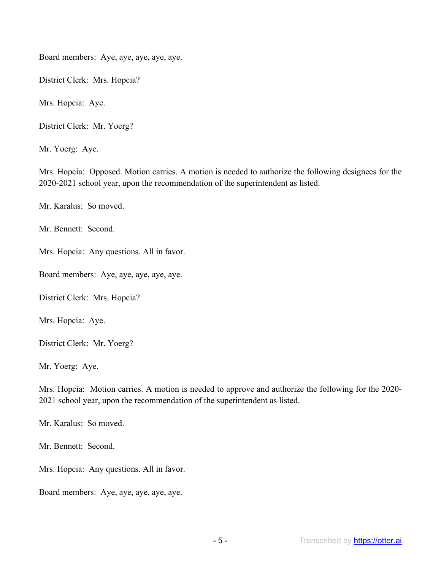Board members: Aye, aye, aye, aye, aye.

District Clerk: Mrs. Hopcia?

Mrs. Hopcia: Aye.

District Clerk: Mr. Yoerg?

Mr. Yoerg: Aye.

Mrs. Hopcia: Opposed. Motion carries. A motion is needed to authorize the following designees for the 2020-2021 school year, upon the recommendation of the superintendent as listed.

Mr. Karalus: So moved.

Mr. Bennett: Second.

Mrs. Hopcia: Any questions. All in favor.

Board members: Aye, aye, aye, aye, aye.

District Clerk: Mrs. Hopcia?

Mrs. Hopcia: Aye.

District Clerk: Mr. Yoerg?

Mr. Yoerg: Aye.

Mrs. Hopcia: Motion carries. A motion is needed to approve and authorize the following for the 2020- 2021 school year, upon the recommendation of the superintendent as listed.

Mr. Karalus: So moved.

Mr. Bennett: Second.

Mrs. Hopcia: Any questions. All in favor.

Board members: Aye, aye, aye, aye, aye.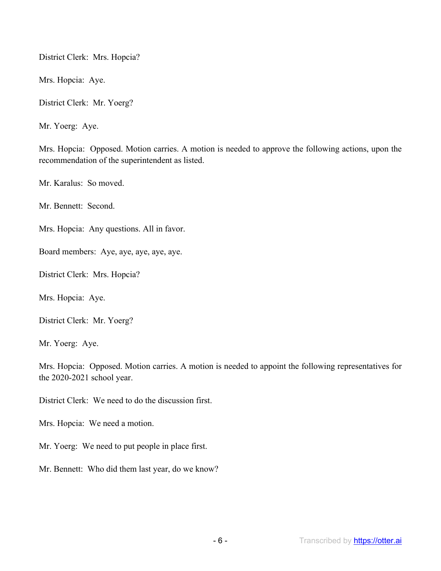District Clerk: Mrs. Hopcia?

Mrs. Hopcia: Aye.

District Clerk: Mr. Yoerg?

Mr. Yoerg: Aye.

Mrs. Hopcia: Opposed. Motion carries. A motion is needed to approve the following actions, upon the recommendation of the superintendent as listed.

Mr. Karalus: So moved.

Mr. Bennett: Second.

Mrs. Hopcia: Any questions. All in favor.

Board members: Aye, aye, aye, aye, aye.

District Clerk: Mrs. Hopcia?

Mrs. Hopcia: Aye.

District Clerk: Mr. Yoerg?

Mr. Yoerg: Aye.

Mrs. Hopcia: Opposed. Motion carries. A motion is needed to appoint the following representatives for the 2020-2021 school year.

District Clerk: We need to do the discussion first.

Mrs. Hopcia: We need a motion.

Mr. Yoerg: We need to put people in place first.

Mr. Bennett: Who did them last year, do we know?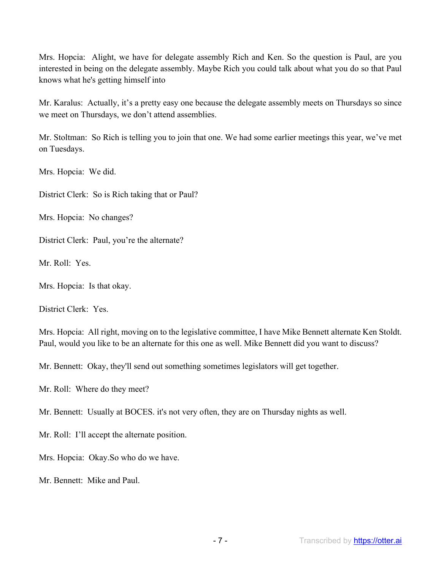Mrs. Hopcia: Alight, we have for delegate assembly Rich and Ken. So the question is Paul, are you interested in being on the delegate assembly. Maybe Rich you could talk about what you do so that Paul knows what he's getting himself into

Mr. Karalus: Actually, it's a pretty easy one because the delegate assembly meets on Thursdays so since we meet on Thursdays, we don't attend assemblies.

Mr. Stoltman: So Rich is telling you to join that one. We had some earlier meetings this year, we've met on Tuesdays.

Mrs. Hopcia: We did.

District Clerk: So is Rich taking that or Paul?

Mrs. Hopcia: No changes?

District Clerk: Paul, you're the alternate?

Mr. Roll: Yes.

Mrs. Hopcia: Is that okay.

District Clerk: Yes.

Mrs. Hopcia: All right, moving on to the legislative committee, I have Mike Bennett alternate Ken Stoldt. Paul, would you like to be an alternate for this one as well. Mike Bennett did you want to discuss?

Mr. Bennett: Okay, they'll send out something sometimes legislators will get together.

Mr. Roll: Where do they meet?

Mr. Bennett: Usually at BOCES. it's not very often, they are on Thursday nights as well.

Mr. Roll: I'll accept the alternate position.

Mrs. Hopcia: Okay.So who do we have.

Mr. Bennett: Mike and Paul.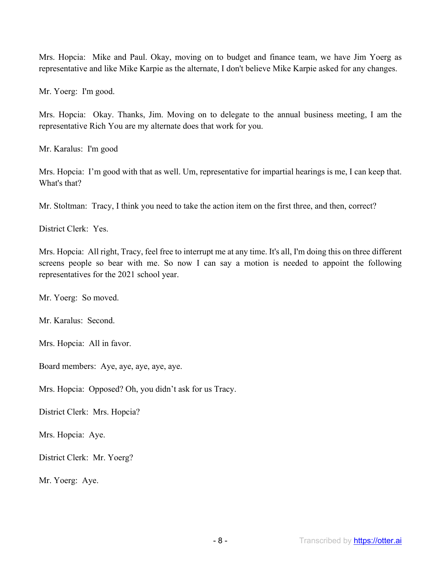Mrs. Hopcia: Mike and Paul. Okay, moving on to budget and finance team, we have Jim Yoerg as representative and like Mike Karpie as the alternate, I don't believe Mike Karpie asked for any changes.

Mr. Yoerg: I'm good.

Mrs. Hopcia: Okay. Thanks, Jim. Moving on to delegate to the annual business meeting, I am the representative Rich You are my alternate does that work for you.

Mr. Karalus: I'm good

Mrs. Hopcia: I'm good with that as well. Um, representative for impartial hearings is me, I can keep that. What's that?

Mr. Stoltman: Tracy, I think you need to take the action item on the first three, and then, correct?

District Clerk: Yes.

Mrs. Hopcia: All right, Tracy, feel free to interrupt me at any time. It's all, I'm doing this on three different screens people so bear with me. So now I can say a motion is needed to appoint the following representatives for the 2021 school year.

Mr. Yoerg: So moved.

Mr. Karalus: Second.

Mrs. Hopcia: All in favor.

Board members: Aye, aye, aye, aye, aye.

Mrs. Hopcia: Opposed? Oh, you didn't ask for us Tracy.

District Clerk: Mrs. Hopcia?

Mrs. Hopcia: Aye.

District Clerk: Mr. Yoerg?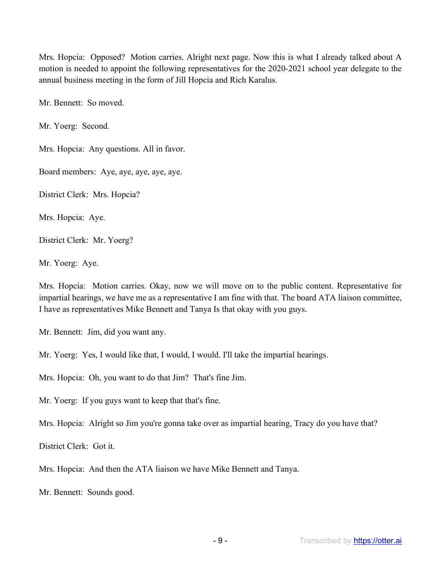Mrs. Hopcia: Opposed? Motion carries. Alright next page. Now this is what I already talked about A motion is needed to appoint the following representatives for the 2020-2021 school year delegate to the annual business meeting in the form of Jill Hopcia and Rich Karalus.

Mr. Bennett: So moved.

Mr. Yoerg: Second.

Mrs. Hopcia: Any questions. All in favor.

Board members: Aye, aye, aye, aye, aye.

District Clerk: Mrs. Hopcia?

Mrs. Hopcia: Aye.

District Clerk: Mr. Yoerg?

Mr. Yoerg: Aye.

Mrs. Hopcia: Motion carries. Okay, now we will move on to the public content. Representative for impartial hearings, we have me as a representative I am fine with that. The board ATA liaison committee, I have as representatives Mike Bennett and Tanya Is that okay with you guys.

Mr. Bennett: Jim, did you want any.

Mr. Yoerg: Yes, I would like that, I would, I would. I'll take the impartial hearings.

Mrs. Hopcia: Oh, you want to do that Jim? That's fine Jim.

Mr. Yoerg: If you guys want to keep that that's fine.

Mrs. Hopcia: Alright so Jim you're gonna take over as impartial hearing, Tracy do you have that?

District Clerk: Got it.

Mrs. Hopcia: And then the ATA liaison we have Mike Bennett and Tanya.

Mr. Bennett: Sounds good.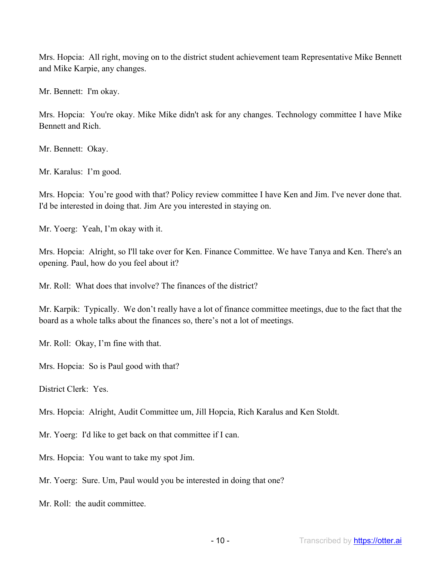Mrs. Hopcia: All right, moving on to the district student achievement team Representative Mike Bennett and Mike Karpie, any changes.

Mr. Bennett: I'm okay.

Mrs. Hopcia: You're okay. Mike Mike didn't ask for any changes. Technology committee I have Mike Bennett and Rich.

Mr. Bennett: Okay.

Mr. Karalus: I'm good.

Mrs. Hopcia: You're good with that? Policy review committee I have Ken and Jim. I've never done that. I'd be interested in doing that. Jim Are you interested in staying on.

Mr. Yoerg: Yeah, I'm okay with it.

Mrs. Hopcia: Alright, so I'll take over for Ken. Finance Committee. We have Tanya and Ken. There's an opening. Paul, how do you feel about it?

Mr. Roll: What does that involve? The finances of the district?

Mr. Karpik: Typically. We don't really have a lot of finance committee meetings, due to the fact that the board as a whole talks about the finances so, there's not a lot of meetings.

Mr. Roll: Okay, I'm fine with that.

Mrs. Hopcia: So is Paul good with that?

District Clerk: Yes.

Mrs. Hopcia: Alright, Audit Committee um, Jill Hopcia, Rich Karalus and Ken Stoldt.

Mr. Yoerg: I'd like to get back on that committee if I can.

Mrs. Hopcia: You want to take my spot Jim.

Mr. Yoerg: Sure. Um, Paul would you be interested in doing that one?

Mr. Roll: the audit committee.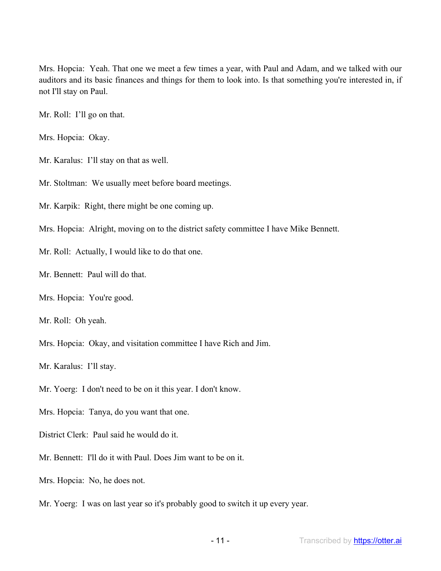Mrs. Hopcia: Yeah. That one we meet a few times a year, with Paul and Adam, and we talked with our auditors and its basic finances and things for them to look into. Is that something you're interested in, if not I'll stay on Paul.

Mr. Roll: I'll go on that.

Mrs. Hopcia: Okay.

Mr. Karalus: I'll stay on that as well.

Mr. Stoltman: We usually meet before board meetings.

Mr. Karpik: Right, there might be one coming up.

Mrs. Hopcia: Alright, moving on to the district safety committee I have Mike Bennett.

Mr. Roll: Actually, I would like to do that one.

Mr. Bennett: Paul will do that.

Mrs. Hopcia: You're good.

Mr. Roll: Oh yeah.

Mrs. Hopcia: Okay, and visitation committee I have Rich and Jim.

Mr. Karalus: I'll stay.

Mr. Yoerg: I don't need to be on it this year. I don't know.

Mrs. Hopcia: Tanya, do you want that one.

District Clerk: Paul said he would do it.

Mr. Bennett: I'll do it with Paul. Does Jim want to be on it.

Mrs. Hopcia: No, he does not.

Mr. Yoerg: I was on last year so it's probably good to switch it up every year.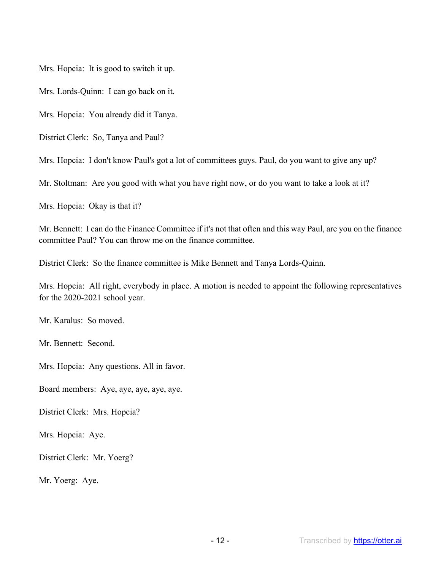Mrs. Hopcia: It is good to switch it up.

Mrs. Lords-Quinn: I can go back on it.

Mrs. Hopcia: You already did it Tanya.

District Clerk: So, Tanya and Paul?

Mrs. Hopcia: I don't know Paul's got a lot of committees guys. Paul, do you want to give any up?

Mr. Stoltman: Are you good with what you have right now, or do you want to take a look at it?

Mrs. Hopcia: Okay is that it?

Mr. Bennett: I can do the Finance Committee if it's not that often and this way Paul, are you on the finance committee Paul? You can throw me on the finance committee.

District Clerk: So the finance committee is Mike Bennett and Tanya Lords-Quinn.

Mrs. Hopcia: All right, everybody in place. A motion is needed to appoint the following representatives for the 2020-2021 school year.

Mr. Karalus: So moved.

Mr. Bennett: Second.

Mrs. Hopcia: Any questions. All in favor.

Board members: Aye, aye, aye, aye, aye.

District Clerk: Mrs. Hopcia?

Mrs. Hopcia: Aye.

District Clerk: Mr. Yoerg?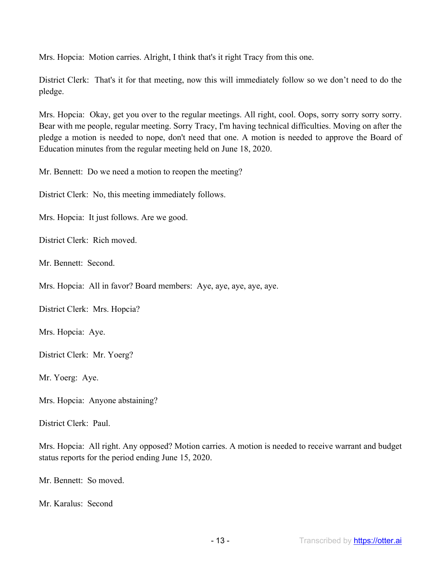Mrs. Hopcia: Motion carries. Alright, I think that's it right Tracy from this one.

District Clerk: That's it for that meeting, now this will immediately follow so we don't need to do the pledge.

Mrs. Hopcia: Okay, get you over to the regular meetings. All right, cool. Oops, sorry sorry sorry sorry. Bear with me people, regular meeting. Sorry Tracy, I'm having technical difficulties. Moving on after the pledge a motion is needed to nope, don't need that one. A motion is needed to approve the Board of Education minutes from the regular meeting held on June 18, 2020.

Mr. Bennett: Do we need a motion to reopen the meeting?

District Clerk: No, this meeting immediately follows.

Mrs. Hopcia: It just follows. Are we good.

District Clerk: Rich moved.

Mr. Bennett: Second.

Mrs. Hopcia: All in favor? Board members: Aye, aye, aye, aye, aye.

District Clerk: Mrs. Hopcia?

Mrs. Hopcia: Aye.

District Clerk: Mr. Yoerg?

Mr. Yoerg: Aye.

Mrs. Hopcia: Anyone abstaining?

District Clerk: Paul.

Mrs. Hopcia: All right. Any opposed? Motion carries. A motion is needed to receive warrant and budget status reports for the period ending June 15, 2020.

Mr. Bennett: So moved.

Mr. Karalus: Second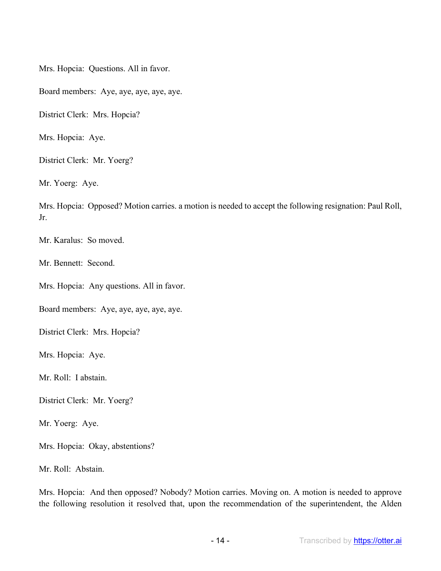Mrs. Hopcia: Questions. All in favor.

Board members: Aye, aye, aye, aye, aye.

District Clerk: Mrs. Hopcia?

Mrs. Hopcia: Aye.

District Clerk: Mr. Yoerg?

Mr. Yoerg: Aye.

Mrs. Hopcia: Opposed? Motion carries. a motion is needed to accept the following resignation: Paul Roll, Jr.

Mr. Karalus: So moved.

Mr. Bennett: Second.

Mrs. Hopcia: Any questions. All in favor.

Board members: Aye, aye, aye, aye, aye.

District Clerk: Mrs. Hopcia?

Mrs. Hopcia: Aye.

Mr. Roll: I abstain.

District Clerk: Mr. Yoerg?

Mr. Yoerg: Aye.

Mrs. Hopcia: Okay, abstentions?

Mr. Roll: Abstain.

Mrs. Hopcia: And then opposed? Nobody? Motion carries. Moving on. A motion is needed to approve the following resolution it resolved that, upon the recommendation of the superintendent, the Alden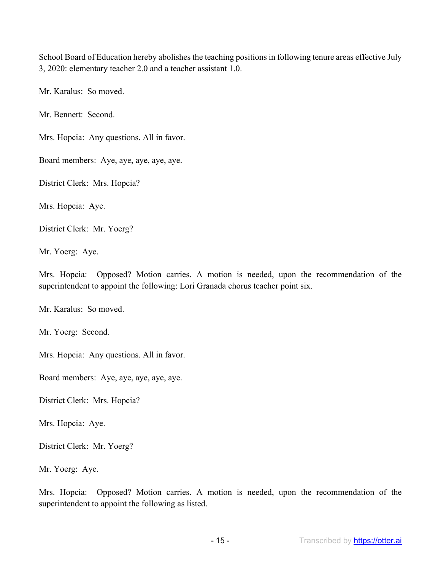School Board of Education hereby abolishes the teaching positions in following tenure areas effective July 3, 2020: elementary teacher 2.0 and a teacher assistant 1.0.

Mr. Karalus: So moved.

Mr. Bennett: Second.

Mrs. Hopcia: Any questions. All in favor.

Board members: Aye, aye, aye, aye, aye.

District Clerk: Mrs. Hopcia?

Mrs. Hopcia: Aye.

District Clerk: Mr. Yoerg?

Mr. Yoerg: Aye.

Mrs. Hopcia: Opposed? Motion carries. A motion is needed, upon the recommendation of the superintendent to appoint the following: Lori Granada chorus teacher point six.

Mr. Karalus: So moved.

Mr. Yoerg: Second.

Mrs. Hopcia: Any questions. All in favor.

Board members: Aye, aye, aye, aye, aye.

District Clerk: Mrs. Hopcia?

Mrs. Hopcia: Aye.

District Clerk: Mr. Yoerg?

Mr. Yoerg: Aye.

Mrs. Hopcia: Opposed? Motion carries. A motion is needed, upon the recommendation of the superintendent to appoint the following as listed.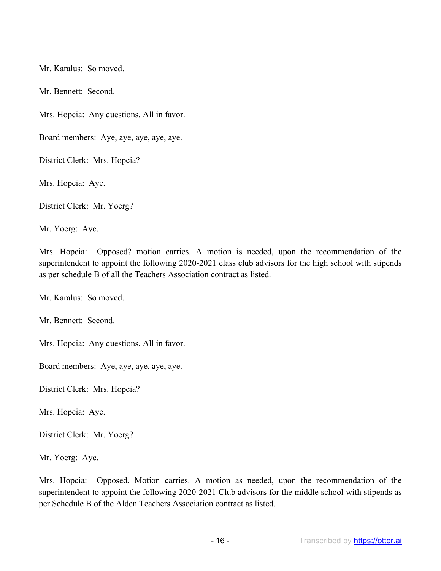Mr. Karalus: So moved.

Mr. Bennett: Second.

Mrs. Hopcia: Any questions. All in favor.

Board members: Aye, aye, aye, aye, aye.

District Clerk: Mrs. Hopcia?

Mrs. Hopcia: Aye.

District Clerk: Mr. Yoerg?

Mr. Yoerg: Aye.

Mrs. Hopcia: Opposed? motion carries. A motion is needed, upon the recommendation of the superintendent to appoint the following 2020-2021 class club advisors for the high school with stipends as per schedule B of all the Teachers Association contract as listed.

Mr. Karalus: So moved.

Mr. Bennett: Second.

Mrs. Hopcia: Any questions. All in favor.

Board members: Aye, aye, aye, aye, aye.

District Clerk: Mrs. Hopcia?

Mrs. Hopcia: Aye.

District Clerk: Mr. Yoerg?

Mr. Yoerg: Aye.

Mrs. Hopcia: Opposed. Motion carries. A motion as needed, upon the recommendation of the superintendent to appoint the following 2020-2021 Club advisors for the middle school with stipends as per Schedule B of the Alden Teachers Association contract as listed.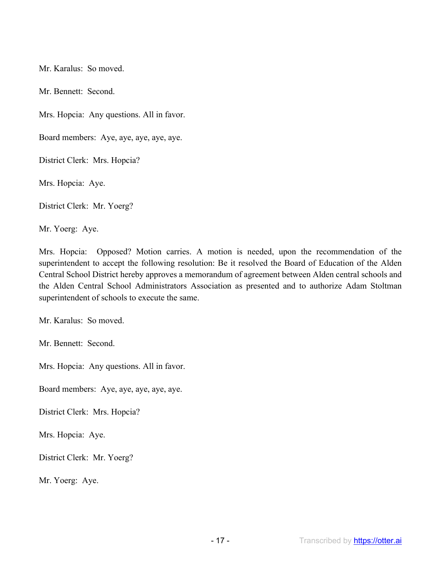Mr. Karalus: So moved.

Mr. Bennett: Second.

Mrs. Hopcia: Any questions. All in favor.

Board members: Aye, aye, aye, aye, aye.

District Clerk: Mrs. Hopcia?

Mrs. Hopcia: Aye.

District Clerk: Mr. Yoerg?

Mr. Yoerg: Aye.

Mrs. Hopcia: Opposed? Motion carries. A motion is needed, upon the recommendation of the superintendent to accept the following resolution: Be it resolved the Board of Education of the Alden Central School District hereby approves a memorandum of agreement between Alden central schools and the Alden Central School Administrators Association as presented and to authorize Adam Stoltman superintendent of schools to execute the same.

Mr. Karalus: So moved.

Mr. Bennett: Second.

Mrs. Hopcia: Any questions. All in favor.

Board members: Aye, aye, aye, aye, aye.

District Clerk: Mrs. Hopcia?

Mrs. Hopcia: Aye.

District Clerk: Mr. Yoerg?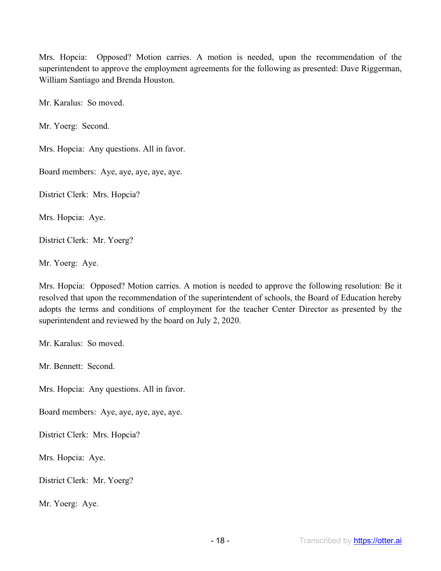Mrs. Hopcia: Opposed? Motion carries. A motion is needed, upon the recommendation of the superintendent to approve the employment agreements for the following as presented: Dave Riggerman, William Santiago and Brenda Houston.

Mr. Karalus: So moved.

Mr. Yoerg: Second.

Mrs. Hopcia: Any questions. All in favor.

Board members: Aye, aye, aye, aye, aye.

District Clerk: Mrs. Hopcia?

Mrs. Hopcia: Aye.

District Clerk: Mr. Yoerg?

Mr. Yoerg: Aye.

Mrs. Hopcia: Opposed? Motion carries. A motion is needed to approve the following resolution: Be it resolved that upon the recommendation of the superintendent of schools, the Board of Education hereby adopts the terms and conditions of employment for the teacher Center Director as presented by the superintendent and reviewed by the board on July 2, 2020.

Mr. Karalus: So moved.

Mr. Bennett: Second.

Mrs. Hopcia: Any questions. All in favor.

Board members: Aye, aye, aye, aye, aye.

District Clerk: Mrs. Hopcia?

Mrs. Hopcia: Aye.

District Clerk: Mr. Yoerg?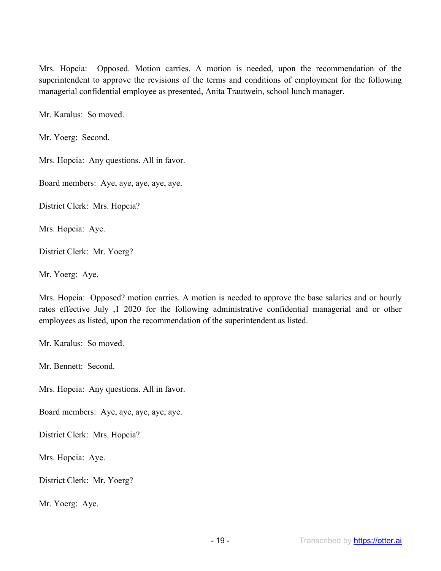Mrs. Hopcia: Opposed. Motion carries. A motion is needed, upon the recommendation of the superintendent to approve the revisions of the terms and conditions of employment for the following managerial confidential employee as presented, Anita Trautwein, school lunch manager.

Mr. Karalus: So moved.

Mr. Yoerg: Second.

Mrs. Hopcia: Any questions. All in favor.

Board members: Aye, aye, aye, aye, aye.

District Clerk: Mrs. Hopcia?

Mrs. Hopcia: Aye.

District Clerk: Mr. Yoerg?

Mr. Yoerg: Aye.

Mrs. Hopcia: Opposed? motion carries. A motion is needed to approve the base salaries and or hourly rates effective July ,1 2020 for the following administrative confidential managerial and or other employees as listed, upon the recommendation of the superintendent as listed.

Mr. Karalus: So moved.

Mr. Bennett: Second.

Mrs. Hopcia: Any questions. All in favor.

Board members: Aye, aye, aye, aye, aye.

District Clerk: Mrs. Hopcia?

Mrs. Hopcia: Aye.

District Clerk: Mr. Yoerg?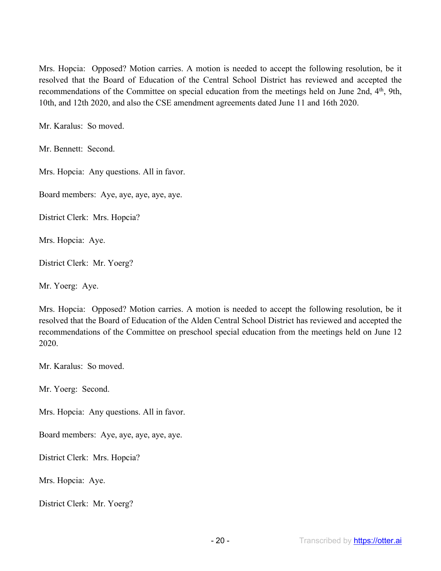Mrs. Hopcia: Opposed? Motion carries. A motion is needed to accept the following resolution, be it resolved that the Board of Education of the Central School District has reviewed and accepted the recommendations of the Committee on special education from the meetings held on June 2nd, 4<sup>th</sup>, 9th, 10th, and 12th 2020, and also the CSE amendment agreements dated June 11 and 16th 2020.

Mr. Karalus: So moved.

Mr. Bennett: Second.

Mrs. Hopcia: Any questions. All in favor.

Board members: Aye, aye, aye, aye, aye.

District Clerk: Mrs. Hopcia?

Mrs. Hopcia: Aye.

District Clerk: Mr. Yoerg?

Mr. Yoerg: Aye.

Mrs. Hopcia: Opposed? Motion carries. A motion is needed to accept the following resolution, be it resolved that the Board of Education of the Alden Central School District has reviewed and accepted the recommendations of the Committee on preschool special education from the meetings held on June 12 2020.

Mr. Karalus: So moved.

Mr. Yoerg: Second.

Mrs. Hopcia: Any questions. All in favor.

Board members: Aye, aye, aye, aye, aye.

District Clerk: Mrs. Hopcia?

Mrs. Hopcia: Aye.

District Clerk: Mr. Yoerg?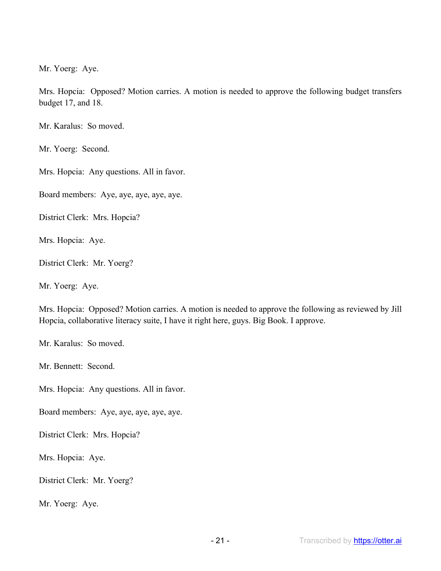Mr. Yoerg: Aye.

Mrs. Hopcia: Opposed? Motion carries. A motion is needed to approve the following budget transfers budget 17, and 18.

Mr. Karalus: So moved.

Mr. Yoerg: Second.

Mrs. Hopcia: Any questions. All in favor.

Board members: Aye, aye, aye, aye, aye.

District Clerk: Mrs. Hopcia?

Mrs. Hopcia: Aye.

District Clerk: Mr. Yoerg?

Mr. Yoerg: Aye.

Mrs. Hopcia: Opposed? Motion carries. A motion is needed to approve the following as reviewed by Jill Hopcia, collaborative literacy suite, I have it right here, guys. Big Book. I approve.

Mr. Karalus: So moved.

Mr. Bennett: Second.

Mrs. Hopcia: Any questions. All in favor.

Board members: Aye, aye, aye, aye, aye.

District Clerk: Mrs. Hopcia?

Mrs. Hopcia: Aye.

District Clerk: Mr. Yoerg?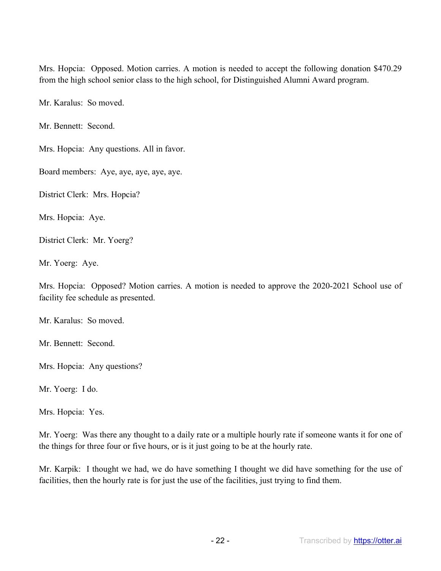Mrs. Hopcia: Opposed. Motion carries. A motion is needed to accept the following donation \$470.29 from the high school senior class to the high school, for Distinguished Alumni Award program.

Mr. Karalus: So moved.

Mr. Bennett: Second.

Mrs. Hopcia: Any questions. All in favor.

Board members: Aye, aye, aye, aye, aye.

District Clerk: Mrs. Hopcia?

Mrs. Hopcia: Aye.

District Clerk: Mr. Yoerg?

Mr. Yoerg: Aye.

Mrs. Hopcia: Opposed? Motion carries. A motion is needed to approve the 2020-2021 School use of facility fee schedule as presented.

Mr. Karalus: So moved.

Mr. Bennett: Second.

Mrs. Hopcia: Any questions?

Mr. Yoerg: I do.

Mrs. Hopcia: Yes.

Mr. Yoerg: Was there any thought to a daily rate or a multiple hourly rate if someone wants it for one of the things for three four or five hours, or is it just going to be at the hourly rate.

Mr. Karpik: I thought we had, we do have something I thought we did have something for the use of facilities, then the hourly rate is for just the use of the facilities, just trying to find them.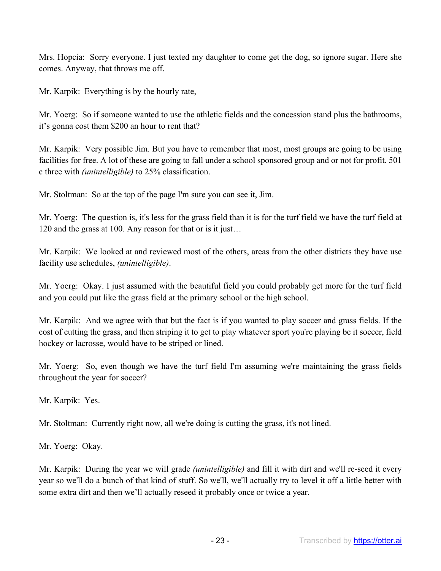Mrs. Hopcia: Sorry everyone. I just texted my daughter to come get the dog, so ignore sugar. Here she comes. Anyway, that throws me off.

Mr. Karpik: Everything is by the hourly rate,

Mr. Yoerg: So if someone wanted to use the athletic fields and the concession stand plus the bathrooms, it's gonna cost them \$200 an hour to rent that?

Mr. Karpik: Very possible Jim. But you have to remember that most, most groups are going to be using facilities for free. A lot of these are going to fall under a school sponsored group and or not for profit. 501 c three with *(unintelligible)* to 25% classification.

Mr. Stoltman: So at the top of the page I'm sure you can see it, Jim.

Mr. Yoerg: The question is, it's less for the grass field than it is for the turf field we have the turf field at 120 and the grass at 100. Any reason for that or is it just…

Mr. Karpik: We looked at and reviewed most of the others, areas from the other districts they have use facility use schedules, *(unintelligible)*.

Mr. Yoerg: Okay. I just assumed with the beautiful field you could probably get more for the turf field and you could put like the grass field at the primary school or the high school.

Mr. Karpik: And we agree with that but the fact is if you wanted to play soccer and grass fields. If the cost of cutting the grass, and then striping it to get to play whatever sport you're playing be it soccer, field hockey or lacrosse, would have to be striped or lined.

Mr. Yoerg: So, even though we have the turf field I'm assuming we're maintaining the grass fields throughout the year for soccer?

Mr. Karpik: Yes.

Mr. Stoltman: Currently right now, all we're doing is cutting the grass, it's not lined.

Mr. Yoerg: Okay.

Mr. Karpik: During the year we will grade *(unintelligible)* and fill it with dirt and we'll re-seed it every year so we'll do a bunch of that kind of stuff. So we'll, we'll actually try to level it off a little better with some extra dirt and then we'll actually reseed it probably once or twice a year.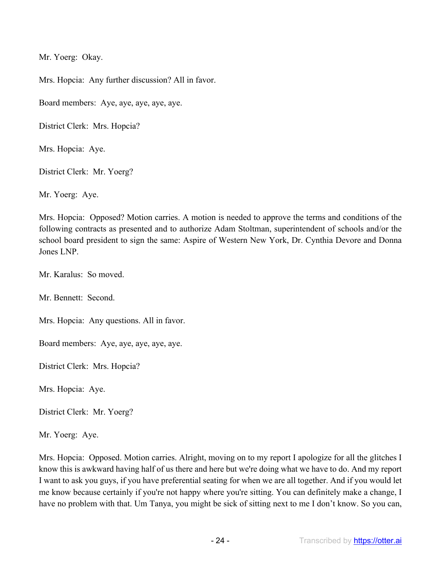Mr. Yoerg: Okay.

Mrs. Hopcia: Any further discussion? All in favor.

Board members: Aye, aye, aye, aye, aye.

District Clerk: Mrs. Hopcia?

Mrs. Hopcia: Aye.

District Clerk: Mr. Yoerg?

Mr. Yoerg: Aye.

Mrs. Hopcia: Opposed? Motion carries. A motion is needed to approve the terms and conditions of the following contracts as presented and to authorize Adam Stoltman, superintendent of schools and/or the school board president to sign the same: Aspire of Western New York, Dr. Cynthia Devore and Donna Jones LNP.

Mr. Karalus: So moved.

Mr. Bennett: Second.

Mrs. Hopcia: Any questions. All in favor.

Board members: Aye, aye, aye, aye, aye.

District Clerk: Mrs. Hopcia?

Mrs. Hopcia: Aye.

District Clerk: Mr. Yoerg?

Mr. Yoerg: Aye.

Mrs. Hopcia: Opposed. Motion carries. Alright, moving on to my report I apologize for all the glitches I know this is awkward having half of us there and here but we're doing what we have to do. And my report I want to ask you guys, if you have preferential seating for when we are all together. And if you would let me know because certainly if you're not happy where you're sitting. You can definitely make a change, I have no problem with that. Um Tanya, you might be sick of sitting next to me I don't know. So you can,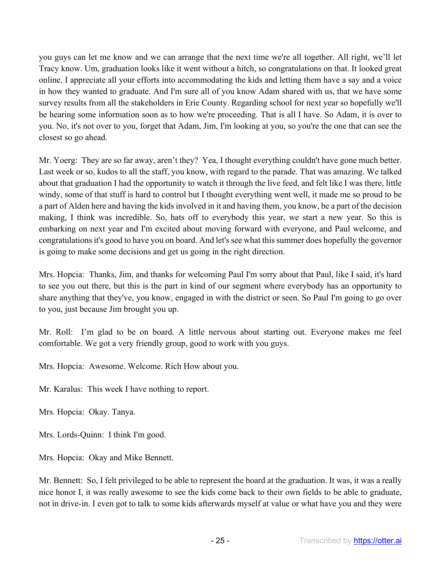you guys can let me know and we can arrange that the next time we're all together. All right, we'll let Tracy know. Um, graduation looks like it went without a hitch, so congratulations on that. It looked great online. I appreciate all your efforts into accommodating the kids and letting them have a say and a voice in how they wanted to graduate. And I'm sure all of you know Adam shared with us, that we have some survey results from all the stakeholders in Erie County. Regarding school for next year so hopefully we'll be hearing some information soon as to how we're proceeding. That is all I have. So Adam, it is over to you. No, it's not over to you, forget that Adam, Jim, I'm looking at you, so you're the one that can see the closest so go ahead.

Mr. Yoerg: They are so far away, aren't they? Yea, I thought everything couldn't have gone much better. Last week or so, kudos to all the staff, you know, with regard to the parade. That was amazing. We talked about that graduation I had the opportunity to watch it through the live feed, and felt like I was there, little windy, some of that stuff is hard to control but I thought everything went well, it made me so proud to be a part of Alden here and having the kids involved in it and having them, you know, be a part of the decision making, I think was incredible. So, hats off to everybody this year, we start a new year. So this is embarking on next year and I'm excited about moving forward with everyone, and Paul welcome, and congratulations it's good to have you on board. And let's see what this summer does hopefully the governor is going to make some decisions and get us going in the right direction.

Mrs. Hopcia: Thanks, Jim, and thanks for welcoming Paul I'm sorry about that Paul, like I said, it's hard to see you out there, but this is the part in kind of our segment where everybody has an opportunity to share anything that they've, you know, engaged in with the district or seen. So Paul I'm going to go over to you, just because Jim brought you up.

Mr. Roll: I'm glad to be on board. A little nervous about starting out. Everyone makes me feel comfortable. We got a very friendly group, good to work with you guys.

Mrs. Hopcia: Awesome. Welcome. Rich How about you.

Mr. Karalus: This week I have nothing to report.

Mrs. Hopcia: Okay. Tanya.

Mrs. Lords-Quinn: I think I'm good.

Mrs. Hopcia: Okay and Mike Bennett.

Mr. Bennett: So, I felt privileged to be able to represent the board at the graduation. It was, it was a really nice honor I, it was really awesome to see the kids come back to their own fields to be able to graduate, not in drive-in. I even got to talk to some kids afterwards myself at value or what have you and they were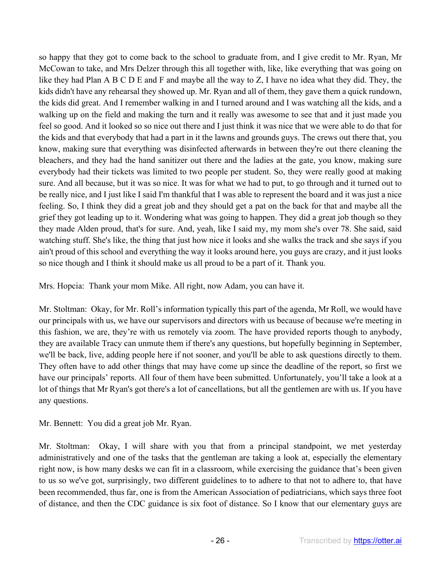so happy that they got to come back to the school to graduate from, and I give credit to Mr. Ryan, Mr McCowan to take, and Mrs Delzer through this all together with, like, like everything that was going on like they had Plan A B C D E and F and maybe all the way to Z, I have no idea what they did. They, the kids didn't have any rehearsal they showed up. Mr. Ryan and all of them, they gave them a quick rundown, the kids did great. And I remember walking in and I turned around and I was watching all the kids, and a walking up on the field and making the turn and it really was awesome to see that and it just made you feel so good. And it looked so so nice out there and I just think it was nice that we were able to do that for the kids and that everybody that had a part in it the lawns and grounds guys. The crews out there that, you know, making sure that everything was disinfected afterwards in between they're out there cleaning the bleachers, and they had the hand sanitizer out there and the ladies at the gate, you know, making sure everybody had their tickets was limited to two people per student. So, they were really good at making sure. And all because, but it was so nice. It was for what we had to put, to go through and it turned out to be really nice, and I just like I said I'm thankful that I was able to represent the board and it was just a nice feeling. So, I think they did a great job and they should get a pat on the back for that and maybe all the grief they got leading up to it. Wondering what was going to happen. They did a great job though so they they made Alden proud, that's for sure. And, yeah, like I said my, my mom she's over 78. She said, said watching stuff. She's like, the thing that just how nice it looks and she walks the track and she says if you ain't proud of this school and everything the way it looks around here, you guys are crazy, and it just looks so nice though and I think it should make us all proud to be a part of it. Thank you.

Mrs. Hopcia: Thank your mom Mike. All right, now Adam, you can have it.

Mr. Stoltman: Okay, for Mr. Roll's information typically this part of the agenda, Mr Roll, we would have our principals with us, we have our supervisors and directors with us because of because we're meeting in this fashion, we are, they're with us remotely via zoom. The have provided reports though to anybody, they are available Tracy can unmute them if there's any questions, but hopefully beginning in September, we'll be back, live, adding people here if not sooner, and you'll be able to ask questions directly to them. They often have to add other things that may have come up since the deadline of the report, so first we have our principals' reports. All four of them have been submitted. Unfortunately, you'll take a look at a lot of things that Mr Ryan's got there's a lot of cancellations, but all the gentlemen are with us. If you have any questions.

Mr. Bennett: You did a great job Mr. Ryan.

Mr. Stoltman: Okay, I will share with you that from a principal standpoint, we met yesterday administratively and one of the tasks that the gentleman are taking a look at, especially the elementary right now, is how many desks we can fit in a classroom, while exercising the guidance that's been given to us so we've got, surprisingly, two different guidelines to to adhere to that not to adhere to, that have been recommended, thus far, one is from the American Association of pediatricians, which says three foot of distance, and then the CDC guidance is six foot of distance. So I know that our elementary guys are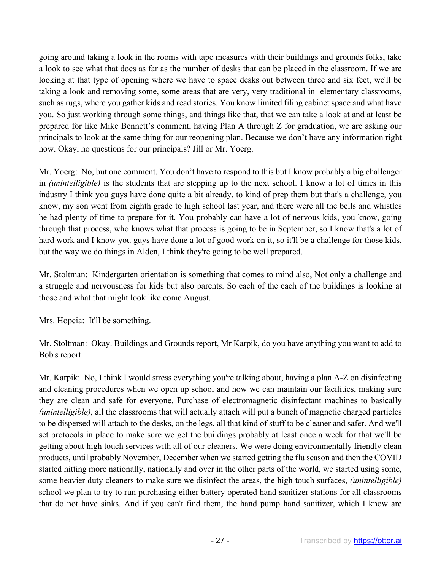going around taking a look in the rooms with tape measures with their buildings and grounds folks, take a look to see what that does as far as the number of desks that can be placed in the classroom. If we are looking at that type of opening where we have to space desks out between three and six feet, we'll be taking a look and removing some, some areas that are very, very traditional in elementary classrooms, such as rugs, where you gather kids and read stories. You know limited filing cabinet space and what have you. So just working through some things, and things like that, that we can take a look at and at least be prepared for like Mike Bennett's comment, having Plan A through Z for graduation, we are asking our principals to look at the same thing for our reopening plan. Because we don't have any information right now. Okay, no questions for our principals? Jill or Mr. Yoerg.

Mr. Yoerg: No, but one comment. You don't have to respond to this but I know probably a big challenger in *(unintelligible)* is the students that are stepping up to the next school. I know a lot of times in this industry I think you guys have done quite a bit already, to kind of prep them but that's a challenge, you know, my son went from eighth grade to high school last year, and there were all the bells and whistles he had plenty of time to prepare for it. You probably can have a lot of nervous kids, you know, going through that process, who knows what that process is going to be in September, so I know that's a lot of hard work and I know you guys have done a lot of good work on it, so it'll be a challenge for those kids, but the way we do things in Alden, I think they're going to be well prepared.

Mr. Stoltman: Kindergarten orientation is something that comes to mind also, Not only a challenge and a struggle and nervousness for kids but also parents. So each of the each of the buildings is looking at those and what that might look like come August.

Mrs. Hopcia: It'll be something.

Mr. Stoltman: Okay. Buildings and Grounds report, Mr Karpik, do you have anything you want to add to Bob's report.

Mr. Karpik: No, I think I would stress everything you're talking about, having a plan A-Z on disinfecting and cleaning procedures when we open up school and how we can maintain our facilities, making sure they are clean and safe for everyone. Purchase of electromagnetic disinfectant machines to basically *(unintelligible)*, all the classrooms that will actually attach will put a bunch of magnetic charged particles to be dispersed will attach to the desks, on the legs, all that kind of stuff to be cleaner and safer. And we'll set protocols in place to make sure we get the buildings probably at least once a week for that we'll be getting about high touch services with all of our cleaners. We were doing environmentally friendly clean products, until probably November, December when we started getting the flu season and then the COVID started hitting more nationally, nationally and over in the other parts of the world, we started using some, some heavier duty cleaners to make sure we disinfect the areas, the high touch surfaces, *(unintelligible)* school we plan to try to run purchasing either battery operated hand sanitizer stations for all classrooms that do not have sinks. And if you can't find them, the hand pump hand sanitizer, which I know are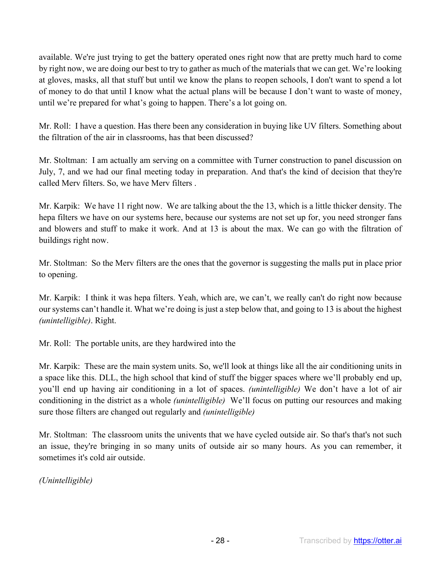available. We're just trying to get the battery operated ones right now that are pretty much hard to come by right now, we are doing our best to try to gather as much of the materials that we can get. We're looking at gloves, masks, all that stuff but until we know the plans to reopen schools, I don't want to spend a lot of money to do that until I know what the actual plans will be because I don't want to waste of money, until we're prepared for what's going to happen. There's a lot going on.

Mr. Roll: I have a question. Has there been any consideration in buying like UV filters. Something about the filtration of the air in classrooms, has that been discussed?

Mr. Stoltman: I am actually am serving on a committee with Turner construction to panel discussion on July, 7, and we had our final meeting today in preparation. And that's the kind of decision that they're called Merv filters. So, we have Merv filters .

Mr. Karpik: We have 11 right now. We are talking about the the 13, which is a little thicker density. The hepa filters we have on our systems here, because our systems are not set up for, you need stronger fans and blowers and stuff to make it work. And at 13 is about the max. We can go with the filtration of buildings right now.

Mr. Stoltman: So the Merv filters are the ones that the governor is suggesting the malls put in place prior to opening.

Mr. Karpik: I think it was hepa filters. Yeah, which are, we can't, we really can't do right now because our systems can't handle it. What we're doing is just a step below that, and going to 13 is about the highest *(unintelligible)*. Right.

Mr. Roll: The portable units, are they hardwired into the

Mr. Karpik: These are the main system units. So, we'll look at things like all the air conditioning units in a space like this. DLL, the high school that kind of stuff the bigger spaces where we'll probably end up, you'll end up having air conditioning in a lot of spaces. *(unintelligible)* We don't have a lot of air conditioning in the district as a whole *(unintelligible)* We'll focus on putting our resources and making sure those filters are changed out regularly and *(unintelligible)* 

Mr. Stoltman: The classroom units the univents that we have cycled outside air. So that's that's not such an issue, they're bringing in so many units of outside air so many hours. As you can remember, it sometimes it's cold air outside.

*(Unintelligible)*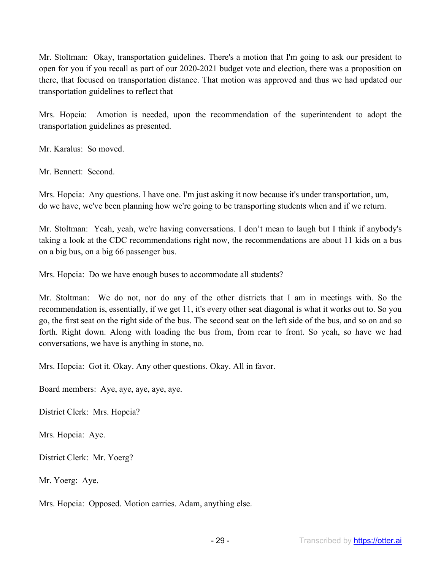Mr. Stoltman: Okay, transportation guidelines. There's a motion that I'm going to ask our president to open for you if you recall as part of our 2020-2021 budget vote and election, there was a proposition on there, that focused on transportation distance. That motion was approved and thus we had updated our transportation guidelines to reflect that

Mrs. Hopcia: Amotion is needed, upon the recommendation of the superintendent to adopt the transportation guidelines as presented.

Mr. Karalus: So moved.

Mr. Bennett: Second.

Mrs. Hopcia: Any questions. I have one. I'm just asking it now because it's under transportation, um, do we have, we've been planning how we're going to be transporting students when and if we return.

Mr. Stoltman: Yeah, yeah, we're having conversations. I don't mean to laugh but I think if anybody's taking a look at the CDC recommendations right now, the recommendations are about 11 kids on a bus on a big bus, on a big 66 passenger bus.

Mrs. Hopcia: Do we have enough buses to accommodate all students?

Mr. Stoltman: We do not, nor do any of the other districts that I am in meetings with. So the recommendation is, essentially, if we get 11, it's every other seat diagonal is what it works out to. So you go, the first seat on the right side of the bus. The second seat on the left side of the bus, and so on and so forth. Right down. Along with loading the bus from, from rear to front. So yeah, so have we had conversations, we have is anything in stone, no.

Mrs. Hopcia: Got it. Okay. Any other questions. Okay. All in favor.

Board members: Aye, aye, aye, aye, aye.

District Clerk: Mrs. Hopcia?

Mrs. Hopcia: Aye.

District Clerk: Mr. Yoerg?

Mr. Yoerg: Aye.

Mrs. Hopcia: Opposed. Motion carries. Adam, anything else.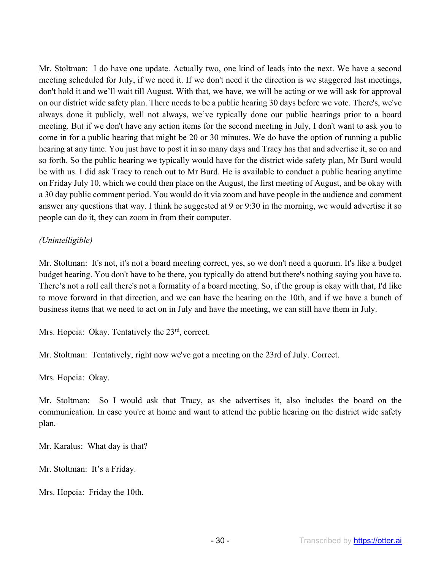Mr. Stoltman: I do have one update. Actually two, one kind of leads into the next. We have a second meeting scheduled for July, if we need it. If we don't need it the direction is we staggered last meetings, don't hold it and we'll wait till August. With that, we have, we will be acting or we will ask for approval on our district wide safety plan. There needs to be a public hearing 30 days before we vote. There's, we've always done it publicly, well not always, we've typically done our public hearings prior to a board meeting. But if we don't have any action items for the second meeting in July, I don't want to ask you to come in for a public hearing that might be 20 or 30 minutes. We do have the option of running a public hearing at any time. You just have to post it in so many days and Tracy has that and advertise it, so on and so forth. So the public hearing we typically would have for the district wide safety plan, Mr Burd would be with us. I did ask Tracy to reach out to Mr Burd. He is available to conduct a public hearing anytime on Friday July 10, which we could then place on the August, the first meeting of August, and be okay with a 30 day public comment period. You would do it via zoom and have people in the audience and comment answer any questions that way. I think he suggested at 9 or 9:30 in the morning, we would advertise it so people can do it, they can zoom in from their computer.

## *(Unintelligible)*

Mr. Stoltman: It's not, it's not a board meeting correct, yes, so we don't need a quorum. It's like a budget budget hearing. You don't have to be there, you typically do attend but there's nothing saying you have to. There's not a roll call there's not a formality of a board meeting. So, if the group is okay with that, I'd like to move forward in that direction, and we can have the hearing on the 10th, and if we have a bunch of business items that we need to act on in July and have the meeting, we can still have them in July.

Mrs. Hopcia: Okay. Tentatively the 23<sup>rd</sup>, correct.

Mr. Stoltman: Tentatively, right now we've got a meeting on the 23rd of July. Correct.

Mrs. Hopcia: Okay.

Mr. Stoltman: So I would ask that Tracy, as she advertises it, also includes the board on the communication. In case you're at home and want to attend the public hearing on the district wide safety plan.

Mr. Karalus: What day is that?

Mr. Stoltman: It's a Friday.

Mrs. Hopcia: Friday the 10th.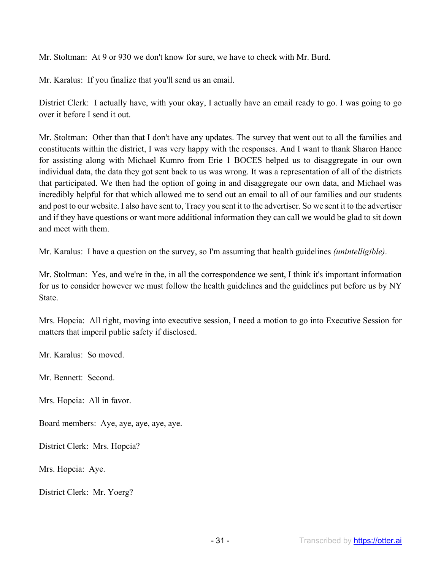Mr. Stoltman: At 9 or 930 we don't know for sure, we have to check with Mr. Burd.

Mr. Karalus: If you finalize that you'll send us an email.

District Clerk: I actually have, with your okay, I actually have an email ready to go. I was going to go over it before I send it out.

Mr. Stoltman: Other than that I don't have any updates. The survey that went out to all the families and constituents within the district, I was very happy with the responses. And I want to thank Sharon Hance for assisting along with Michael Kumro from Erie 1 BOCES helped us to disaggregate in our own individual data, the data they got sent back to us was wrong. It was a representation of all of the districts that participated. We then had the option of going in and disaggregate our own data, and Michael was incredibly helpful for that which allowed me to send out an email to all of our families and our students and post to our website. I also have sent to, Tracy you sent it to the advertiser. So we sent it to the advertiser and if they have questions or want more additional information they can call we would be glad to sit down and meet with them.

Mr. Karalus: I have a question on the survey, so I'm assuming that health guidelines *(unintelligible)*.

Mr. Stoltman: Yes, and we're in the, in all the correspondence we sent, I think it's important information for us to consider however we must follow the health guidelines and the guidelines put before us by NY State.

Mrs. Hopcia: All right, moving into executive session, I need a motion to go into Executive Session for matters that imperil public safety if disclosed.

Mr. Karalus: So moved.

Mr. Bennett: Second.

Mrs. Hopcia: All in favor.

Board members: Aye, aye, aye, aye, aye.

District Clerk: Mrs. Hopcia?

Mrs. Hopcia: Aye.

District Clerk: Mr. Yoerg?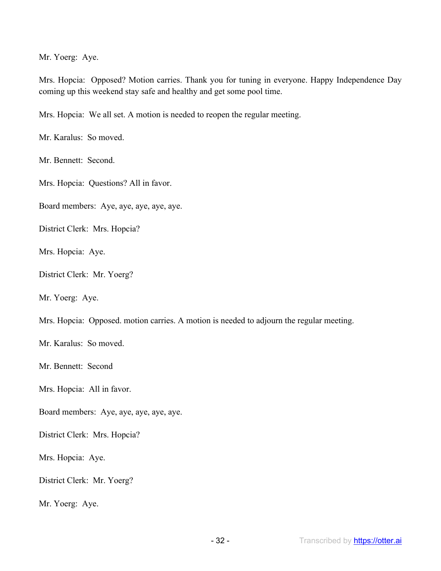Mr. Yoerg: Aye.

Mrs. Hopcia: Opposed? Motion carries. Thank you for tuning in everyone. Happy Independence Day coming up this weekend stay safe and healthy and get some pool time.

Mrs. Hopcia: We all set. A motion is needed to reopen the regular meeting.

Mr. Karalus: So moved.

Mr. Bennett: Second.

Mrs. Hopcia: Questions? All in favor.

Board members: Aye, aye, aye, aye, aye.

District Clerk: Mrs. Hopcia?

Mrs. Hopcia: Aye.

District Clerk: Mr. Yoerg?

Mr. Yoerg: Aye.

Mrs. Hopcia: Opposed. motion carries. A motion is needed to adjourn the regular meeting.

Mr. Karalus: So moved.

Mr. Bennett: Second

Mrs. Hopcia: All in favor.

Board members: Aye, aye, aye, aye, aye.

District Clerk: Mrs. Hopcia?

Mrs. Hopcia: Aye.

District Clerk: Mr. Yoerg?